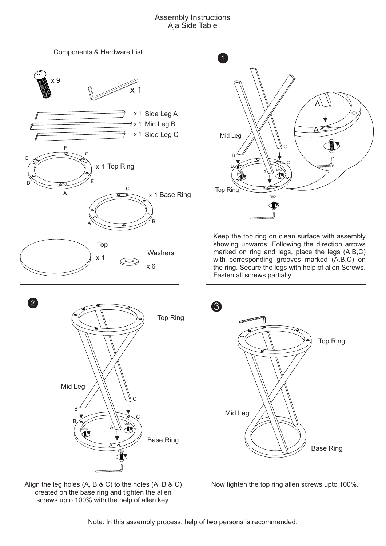## Assembly Instructions Aja Side Table



Align the leg holes (A, B & C) to the holes (A, B & C) created on the base ring and tighten the allen screws upto 100% with the help of allen key.



Keep the top ring on clean surface with assembly showing upwards. Following the direction arrows marked on ring and legs, place the legs (A,B,C) with corresponding grooves marked (A,B,C) on the ring. Secure the legs with help of allen Screws. Fasten all screws partially.



Now tighten the top ring allen screws upto 100%.